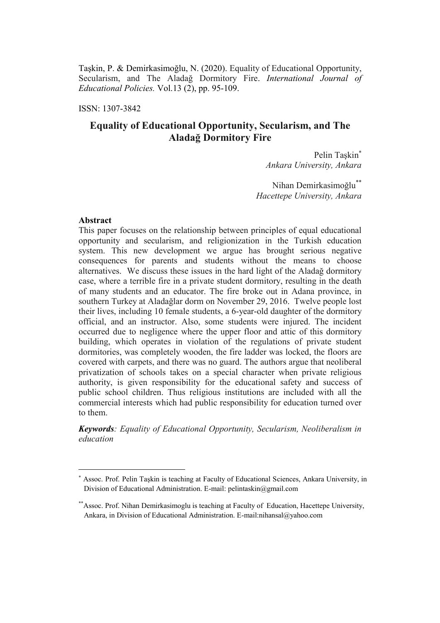Taşkin, P. & Demirkasimoğlu, N. (2020). Equality of Educational Opportunity, Secularism, and The Aladağ Dormitory Fire. *International Journal of Educational Policies.* Vol.13 (2), pp. 95-109.

ISSN: 1307-3842

# **Equality of Educational Opportunity, Secularism, and The Aladağ Dormitory Fire**

Pelin Taşkin *Ankara University, Ankara*

Nihan Demirkasimoğlu\*\* *Hacettepe University, Ankara*

#### **Abstract**

 $\overline{a}$ 

This paper focuses on the relationship between principles of equal educational opportunity and secularism, and religionization in the Turkish education system. This new development we argue has brought serious negative consequences for parents and students without the means to choose alternatives. We discuss these issues in the hard light of the Aladağ dormitory case, where a terrible fire in a private student dormitory, resulting in the death of many students and an educator. The fire broke out in Adana province, in southern Turkey at Aladağlar dorm on November 29, 2016. Twelve people lost their lives, including 10 female students, a 6-year-old daughter of the dormitory official, and an instructor. Also, some students were injured. The incident occurred due to negligence where the upper floor and attic of this dormitory building, which operates in violation of the regulations of private student dormitories, was completely wooden, the fire ladder was locked, the floors are covered with carpets, and there was no guard. The authors argue that neoliberal privatization of schools takes on a special character when private religious authority, is given responsibility for the educational safety and success of public school children. Thus religious institutions are included with all the commercial interests which had public responsibility for education turned over to them.

*Keywords: Equality of Educational Opportunity, Secularism, Neoliberalism in education*

Assoc. Prof. Pelin Taşkin is teaching at Faculty of Educational Sciences, Ankara University, in Division of Educational Administration. E-mail: pelintaskin@gmail.com

<sup>\*\*</sup>Assoc. Prof. Nihan Demirkasimoglu is teaching at Faculty of Education, Hacettepe University, Ankara, in Division of Educational Administration. E-mail:nihansal@yahoo.com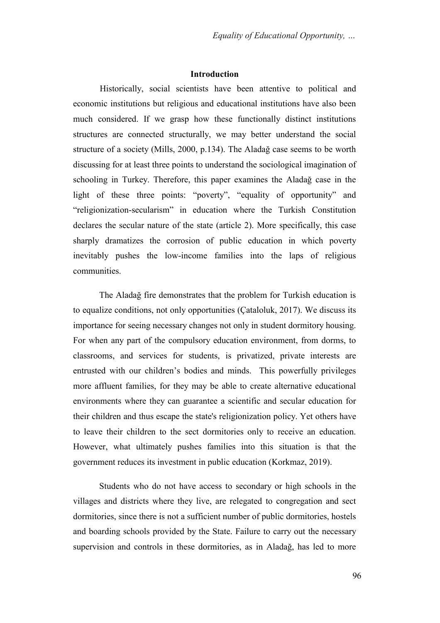# **Introduction**

Historically, social scientists have been attentive to political and economic institutions but religious and educational institutions have also been much considered. If we grasp how these functionally distinct institutions structures are connected structurally, we may better understand the social structure of a society (Mills, 2000, p.134). The Aladağ case seems to be worth discussing for at least three points to understand the sociological imagination of schooling in Turkey. Therefore, this paper examines the Aladağ case in the light of these three points: "poverty", "equality of opportunity" and "religionization-secularism" in education where the Turkish Constitution declares the secular nature of the state (article 2). More specifically, this case sharply dramatizes the corrosion of public education in which poverty inevitably pushes the low-income families into the laps of religious communities.

The Aladağ fire demonstrates that the problem for Turkish education is to equalize conditions, not only opportunities (Çataloluk, 2017). We discuss its importance for seeing necessary changes not only in student dormitory housing. For when any part of the compulsory education environment, from dorms, to classrooms, and services for students, is privatized, private interests are entrusted with our children"s bodies and minds. This powerfully privileges more affluent families, for they may be able to create alternative educational environments where they can guarantee a scientific and secular education for their children and thus escape the state's religionization policy. Yet others have to leave their children to the sect dormitories only to receive an education. However, what ultimately pushes families into this situation is that the government reduces its investment in public education (Korkmaz, 2019).

Students who do not have access to secondary or high schools in the villages and districts where they live, are relegated to congregation and sect dormitories, since there is not a sufficient number of public dormitories, hostels and boarding schools provided by the State. Failure to carry out the necessary supervision and controls in these dormitories, as in Aladağ, has led to more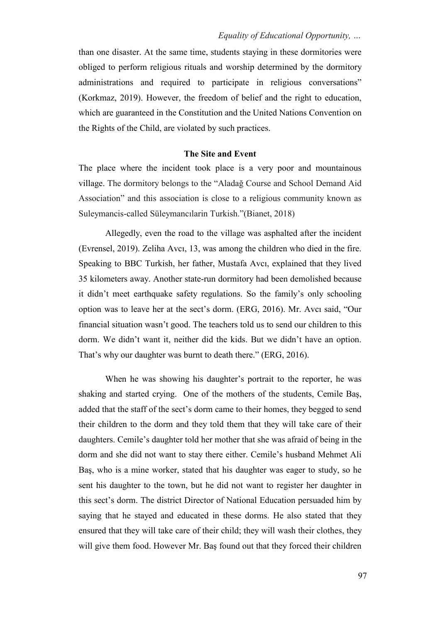than one disaster. At the same time, students staying in these dormitories were obliged to perform religious rituals and worship determined by the dormitory administrations and required to participate in religious conversations" (Korkmaz, 2019). However, the freedom of belief and the right to education, which are guaranteed in the Constitution and the United Nations Convention on the Rights of the Child, are violated by such practices.

# **The Site and Event**

The place where the incident took place is a very poor and mountainous village. The dormitory belongs to the "Aladağ Course and School Demand Aid Association" and this association is close to a religious community known as Suleymancis-called Süleymancılarin Turkish."(Bianet, 2018)

Allegedly, even the road to the village was asphalted after the incident (Evrensel, 2019). Zeliha Avcı, 13, was among the children who died in the fire. Speaking to BBC Turkish, her father, Mustafa Avcı, explained that they lived 35 kilometers away. Another state-run dormitory had been demolished because it didn't meet earthquake safety regulations. So the family's only schooling option was to leave her at the sect"s dorm. (ERG, 2016). Mr. Avcı said, "Our financial situation wasn"t good. The teachers told us to send our children to this dorm. We didn"t want it, neither did the kids. But we didn"t have an option. That's why our daughter was burnt to death there." (ERG, 2016).

When he was showing his daughter's portrait to the reporter, he was shaking and started crying. One of the mothers of the students, Cemile Baş, added that the staff of the sect's dorm came to their homes, they begged to send their children to the dorm and they told them that they will take care of their daughters. Cemile"s daughter told her mother that she was afraid of being in the dorm and she did not want to stay there either. Cemile's husband Mehmet Ali Baş, who is a mine worker, stated that his daughter was eager to study, so he sent his daughter to the town, but he did not want to register her daughter in this sect"s dorm. The district Director of National Education persuaded him by saying that he stayed and educated in these dorms. He also stated that they ensured that they will take care of their child; they will wash their clothes, they will give them food. However Mr. Baş found out that they forced their children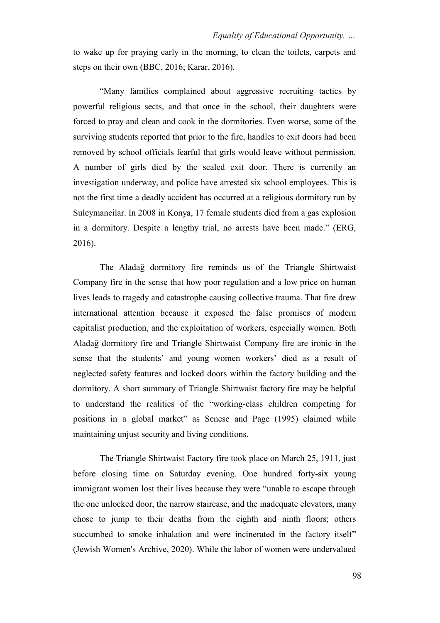to wake up for praying early in the morning, to clean the toilets, carpets and steps on their own (BBC, 2016; Karar, 2016).

"Many families complained about aggressive recruiting tactics by powerful religious sects, and that once in the school, their daughters were forced to pray and clean and cook in the dormitories. Even worse, some of the surviving students reported that prior to the fire, handles to exit doors had been removed by school officials fearful that girls would leave without permission. A number of girls died by the sealed exit door. There is currently an investigation underway, and police have arrested six school employees. This is not the first time a deadly accident has occurred at a religious dormitory run by Suleymancilar. In 2008 in Konya, 17 female students died from a gas explosion in a dormitory. Despite a lengthy trial, no arrests have been made." (ERG, 2016).

The Aladağ dormitory fire reminds us of the Triangle Shirtwaist Company fire in the sense that how poor regulation and a low price on human lives leads to tragedy and catastrophe causing collective trauma. That fire drew international attention because it exposed the false promises of modern capitalist production, and the exploitation of workers, especially women. Both Aladağ dormitory fire and Triangle Shirtwaist Company fire are ironic in the sense that the students' and young women workers' died as a result of neglected safety features and locked doors within the factory building and the dormitory. A short summary of Triangle Shirtwaist factory fire may be helpful to understand the realities of the "working-class children competing for positions in a global market" as Senese and Page (1995) claimed while maintaining unjust security and living conditions.

The Triangle Shirtwaist Factory fire took place on March 25, 1911, just before closing time on Saturday evening. One hundred forty-six young immigrant women lost their lives because they were "unable to escape through the one unlocked door, the narrow staircase, and the inadequate elevators, many chose to jump to their deaths from the eighth and ninth floors; others succumbed to smoke inhalation and were incinerated in the factory itself" (Jewish Women's Archive, 2020). While the labor of women were undervalued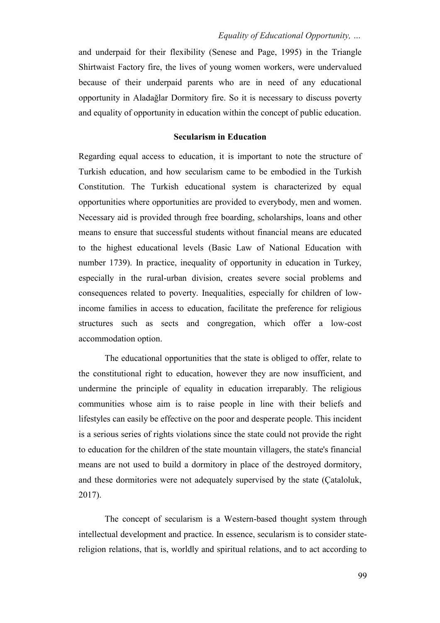and underpaid for their flexibility (Senese and Page, 1995) in the Triangle Shirtwaist Factory fire, the lives of young women workers, were undervalued because of their underpaid parents who are in need of any educational opportunity in Aladağlar Dormitory fire. So it is necessary to discuss poverty and equality of opportunity in education within the concept of public education.

# **Secularism in Education**

Regarding equal access to education, it is important to note the structure of Turkish education, and how secularism came to be embodied in the Turkish Constitution. The Turkish educational system is characterized by equal opportunities where opportunities are provided to everybody, men and women. Necessary aid is provided through free boarding, scholarships, loans and other means to ensure that successful students without financial means are educated to the highest educational levels (Basic Law of National Education with number 1739). In practice, inequality of opportunity in education in Turkey, especially in the rural-urban division, creates severe social problems and consequences related to poverty. Inequalities, especially for children of lowincome families in access to education, facilitate the preference for religious structures such as sects and congregation, which offer a low-cost accommodation option.

The educational opportunities that the state is obliged to offer, relate to the constitutional right to education, however they are now insufficient, and undermine the principle of equality in education irreparably. The religious communities whose aim is to raise people in line with their beliefs and lifestyles can easily be effective on the poor and desperate people. This incident is a serious series of rights violations since the state could not provide the right to education for the children of the state mountain villagers, the state's financial means are not used to build a dormitory in place of the destroyed dormitory, and these dormitories were not adequately supervised by the state (Çataloluk, 2017).

The concept of secularism is a Western-based thought system through intellectual development and practice. In essence, secularism is to consider statereligion relations, that is, worldly and spiritual relations, and to act according to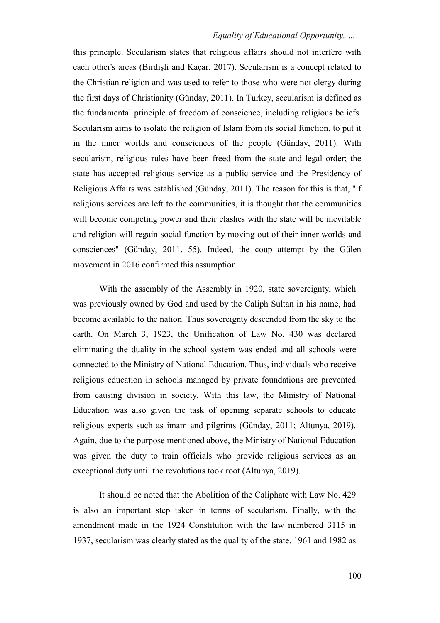this principle. Secularism states that religious affairs should not interfere with each other's areas (Birdişli and Kaçar, 2017). Secularism is a concept related to the Christian religion and was used to refer to those who were not clergy during the first days of Christianity (Günday, 2011). In Turkey, secularism is defined as the fundamental principle of freedom of conscience, including religious beliefs. Secularism aims to isolate the religion of Islam from its social function, to put it in the inner worlds and consciences of the people (Günday, 2011). With secularism, religious rules have been freed from the state and legal order; the state has accepted religious service as a public service and the Presidency of Religious Affairs was established (Günday, 2011). The reason for this is that, "if religious services are left to the communities, it is thought that the communities will become competing power and their clashes with the state will be inevitable and religion will regain social function by moving out of their inner worlds and consciences" (Günday, 2011, 55). Indeed, the coup attempt by the Gülen movement in 2016 confirmed this assumption.

With the assembly of the Assembly in 1920, state sovereignty, which was previously owned by God and used by the Caliph Sultan in his name, had become available to the nation. Thus sovereignty descended from the sky to the earth. On March 3, 1923, the Unification of Law No. 430 was declared eliminating the duality in the school system was ended and all schools were connected to the Ministry of National Education. Thus, individuals who receive religious education in schools managed by private foundations are prevented from causing division in society. With this law, the Ministry of National Education was also given the task of opening separate schools to educate religious experts such as imam and pilgrims (Günday, 2011; Altunya, 2019). Again, due to the purpose mentioned above, the Ministry of National Education was given the duty to train officials who provide religious services as an exceptional duty until the revolutions took root (Altunya, 2019).

It should be noted that the Abolition of the Caliphate with Law No. 429 is also an important step taken in terms of secularism. Finally, with the amendment made in the 1924 Constitution with the law numbered 3115 in 1937, secularism was clearly stated as the quality of the state. 1961 and 1982 as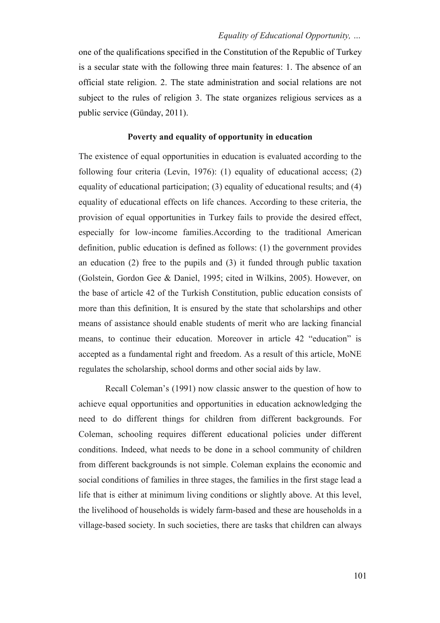one of the qualifications specified in the Constitution of the Republic of Turkey is a secular state with the following three main features: 1. The absence of an official state religion. 2. The state administration and social relations are not subject to the rules of religion 3. The state organizes religious services as a public service (Günday, 2011).

#### **Poverty and equality of opportunity in education**

The existence of equal opportunities in education is evaluated according to the following four criteria (Levin, 1976): (1) equality of educational access; (2) equality of educational participation; (3) equality of educational results; and (4) equality of educational effects on life chances. According to these criteria, the provision of equal opportunities in Turkey fails to provide the desired effect, especially for low-income families.According to the traditional American definition, public education is defined as follows: (1) the government provides an education (2) free to the pupils and (3) it funded through public taxation (Golstein, Gordon Gee & Daniel, 1995; cited in Wilkins, 2005). However, on the base of article 42 of the Turkish Constitution, public education consists of more than this definition, It is ensured by the state that scholarships and other means of assistance should enable students of merit who are lacking financial means, to continue their education. Moreover in article 42 "education" is accepted as a fundamental right and freedom. As a result of this article, MoNE regulates the scholarship, school dorms and other social aids by law.

Recall Coleman"s (1991) now classic answer to the question of how to achieve equal opportunities and opportunities in education acknowledging the need to do different things for children from different backgrounds. For Coleman, schooling requires different educational policies under different conditions. Indeed, what needs to be done in a school community of children from different backgrounds is not simple. Coleman explains the economic and social conditions of families in three stages, the families in the first stage lead a life that is either at minimum living conditions or slightly above. At this level, the livelihood of households is widely farm-based and these are households in a village-based society. In such societies, there are tasks that children can always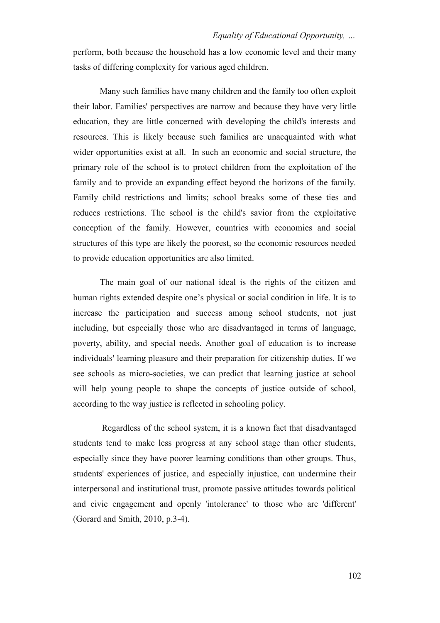perform, both because the household has a low economic level and their many tasks of differing complexity for various aged children.

Many such families have many children and the family too often exploit their labor. Families' perspectives are narrow and because they have very little education, they are little concerned with developing the child's interests and resources. This is likely because such families are unacquainted with what wider opportunities exist at all. In such an economic and social structure, the primary role of the school is to protect children from the exploitation of the family and to provide an expanding effect beyond the horizons of the family. Family child restrictions and limits; school breaks some of these ties and reduces restrictions. The school is the child's savior from the exploitative conception of the family. However, countries with economies and social structures of this type are likely the poorest, so the economic resources needed to provide education opportunities are also limited.

The main goal of our national ideal is the rights of the citizen and human rights extended despite one's physical or social condition in life. It is to increase the participation and success among school students, not just including, but especially those who are disadvantaged in terms of language, poverty, ability, and special needs. Another goal of education is to increase individuals' learning pleasure and their preparation for citizenship duties. If we see schools as micro-societies, we can predict that learning justice at school will help young people to shape the concepts of justice outside of school, according to the way justice is reflected in schooling policy.

Regardless of the school system, it is a known fact that disadvantaged students tend to make less progress at any school stage than other students, especially since they have poorer learning conditions than other groups. Thus, students' experiences of justice, and especially injustice, can undermine their interpersonal and institutional trust, promote passive attitudes towards political and civic engagement and openly 'intolerance' to those who are 'different' (Gorard and Smith, 2010, p.3-4).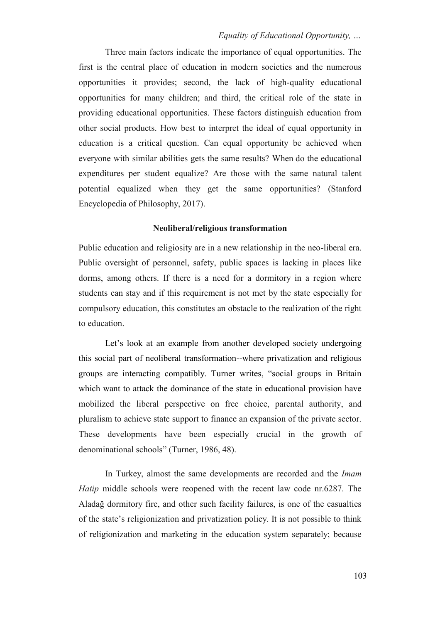Three main factors indicate the importance of equal opportunities. The first is the central place of education in modern societies and the numerous opportunities it provides; second, the lack of high-quality educational opportunities for many children; and third, the critical role of the state in providing educational opportunities. These factors distinguish education from other social products. How best to interpret the ideal of equal opportunity in education is a critical question. Can equal opportunity be achieved when everyone with similar abilities gets the same results? When do the educational expenditures per student equalize? Are those with the same natural talent potential equalized when they get the same opportunities? (Stanford Encyclopedia of Philosophy, 2017).

#### **Neoliberal/religious transformation**

Public education and religiosity are in a new relationship in the neo-liberal era. Public oversight of personnel, safety, public spaces is lacking in places like dorms, among others. If there is a need for a dormitory in a region where students can stay and if this requirement is not met by the state especially for compulsory education, this constitutes an obstacle to the realization of the right to education.

Let's look at an example from another developed society undergoing this social part of neoliberal transformation--where privatization and religious groups are interacting compatibly. Turner writes, "social groups in Britain which want to attack the dominance of the state in educational provision have mobilized the liberal perspective on free choice, parental authority, and pluralism to achieve state support to finance an expansion of the private sector. These developments have been especially crucial in the growth of denominational schools" (Turner, 1986, 48).

In Turkey, almost the same developments are recorded and the *Imam Hatip* middle schools were reopened with the recent law code nr.6287. The Aladağ dormitory fire, and other such facility failures, is one of the casualties of the state"s religionization and privatization policy. It is not possible to think of religionization and marketing in the education system separately; because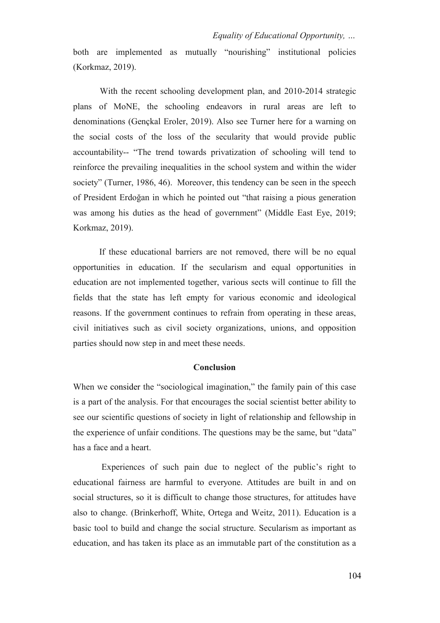both are implemented as mutually "nourishing" institutional policies (Korkmaz, 2019).

With the recent schooling development plan, and 2010-2014 strategic plans of MoNE, the schooling endeavors in rural areas are left to denominations (Gençkal Eroler, 2019). Also see Turner here for a warning on the social costs of the loss of the secularity that would provide public accountability-- "The trend towards privatization of schooling will tend to reinforce the prevailing inequalities in the school system and within the wider society" (Turner, 1986, 46). Moreover, this tendency can be seen in the speech of President Erdoğan in which he pointed out "that raising a pious generation was among his duties as the head of government" (Middle East Eye, 2019; Korkmaz, 2019).

If these educational barriers are not removed, there will be no equal opportunities in education. If the secularism and equal opportunities in education are not implemented together, various sects will continue to fill the fields that the state has left empty for various economic and ideological reasons. If the government continues to refrain from operating in these areas, civil initiatives such as civil society organizations, unions, and opposition parties should now step in and meet these needs.

# **Conclusion**

When we consider the "sociological imagination," the family pain of this case is a part of the analysis. For that encourages the social scientist better ability to see our scientific questions of society in light of relationship and fellowship in the experience of unfair conditions. The questions may be the same, but "data" has a face and a heart.

Experiences of such pain due to neglect of the public's right to educational fairness are harmful to everyone. Attitudes are built in and on social structures, so it is difficult to change those structures, for attitudes have also to change. (Brinkerhoff, White, Ortega and Weitz, 2011). Education is a basic tool to build and change the social structure. Secularism as important as education, and has taken its place as an immutable part of the constitution as a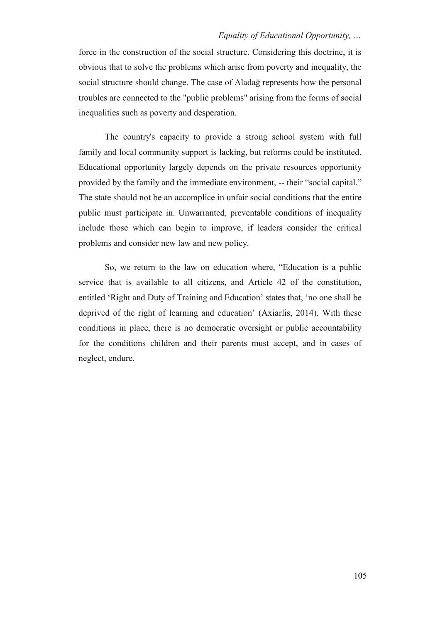force in the construction of the social structure. Considering this doctrine, it is obvious that to solve the problems which arise from poverty and inequality, the social structure should change. The case of Aladağ represents how the personal troubles are connected to the "public problems" arising from the forms of social inequalities such as poverty and desperation.

The country's capacity to provide a strong school system with full family and local community support is lacking, but reforms could be instituted. Educational opportunity largely depends on the private resources opportunity provided by the family and the immediate environment, -- their "social capital." The state should not be an accomplice in unfair social conditions that the entire public must participate in. Unwarranted, preventable conditions of inequality include those which can begin to improve, if leaders consider the critical problems and consider new law and new policy.

So, we return to the law on education where, "Education is a public service that is available to all citizens, and Article 42 of the constitution, entitled "Right and Duty of Training and Education" states that, "no one shall be deprived of the right of learning and education" (Axiarlis, 2014). With these conditions in place, there is no democratic oversight or public accountability for the conditions children and their parents must accept, and in cases of neglect, endure.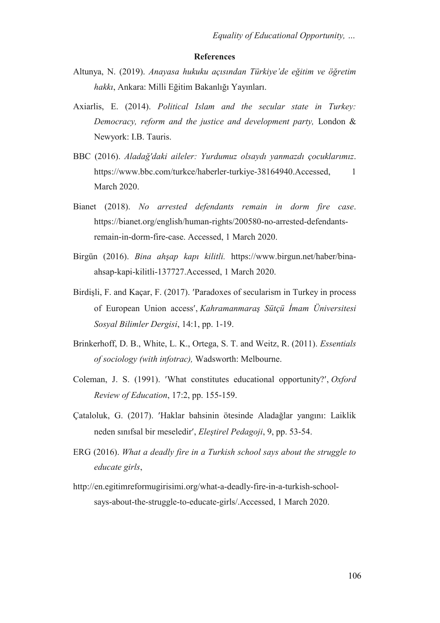#### **References**

- Altunya, N. (2019). *Anayasa hukuku açısından Türkiye'de eğitim ve öğretim hakkı*, Ankara: Milli Eğitim Bakanlığı Yayınları.
- Axiarlis, E. (2014). *Political Islam and the secular state in Turkey: Democracy, reform and the justice and development party,* London & Newyork: I.B. Tauris.
- BBC (2016). *Aladağ'daki aileler: Yurdumuz olsaydı yanmazdı çocuklarımız*. https://www.bbc.com/turkce/haberler-turkiye-38164940.Accessed, 1 March 2020.
- Bianet (2018). *No arrested defendants remain in dorm fire case*. https://bianet.org/english/human-rights/200580-no-arrested-defendantsremain-in-dorm-fire-case. Accessed, 1 March 2020.
- Birgün (2016). *Bina ahşap kapı kilitli.* https://www.birgun.net/haber/binaahsap-kapi-kilitli-137727.Accessed, 1 March 2020.
- Birdişli, F. and Kaçar, F. (2017). Paradoxes of secularism in Turkey in process of European Union access, *Kahramanmaraş Sütçü İmam Üniversitesi Sosyal Bilimler Dergisi*, 14:1, pp. 1-19.
- Brinkerhoff, D. B., White, L. K., Ortega, S. T. and Weitz, R. (2011). *Essentials of sociology (with infotrac),* Wadsworth: Melbourne.
- Coleman, J. S. (1991). What constitutes educational opportunity?, *Oxford Review of Education*, 17:2, pp. 155-159.
- Çataloluk, G. (2017). Haklar bahsinin ötesinde Aladağlar yangını: Laiklik neden sınıfsal bir meseledir, *Eleştirel Pedagoji*, 9, pp. 53-54.
- ERG (2016). *What a deadly fire in a Turkish school says about the struggle to educate girls*,
- http://en.egitimreformugirisimi.org/what-a-deadly-fire-in-a-turkish-schoolsays-about-the-struggle-to-educate-girls/.Accessed, 1 March 2020.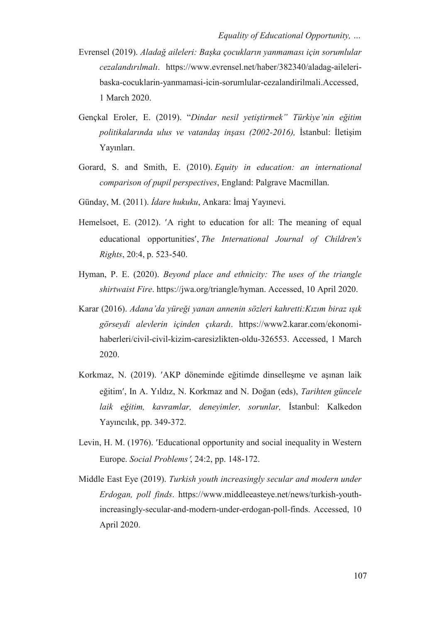- Evrensel (2019). *Aladağ aileleri: Başka çocukların yanmaması için sorumlular cezalandırılmalı*. https://www.evrensel.net/haber/382340/aladag-aileleribaska-cocuklarin-yanmamasi-icin-sorumlular-cezalandirilmali.Accessed, 1 March 2020.
- Gençkal Eroler, E. (2019). "*Dindar nesil yetiştirmek" Türkiye'nin eğitim politikalarında ulus ve vatandaş inşası (2002-2016),* İstanbul: İletişim Yayınları.
- Gorard, S. and Smith, E. (2010). *Equity in education: an international comparison of pupil perspectives*, England: Palgrave Macmillan.
- Günday, M. (2011). *İdare hukuku*, Ankara: İmaj Yayınevi.
- Hemelsoet, E. (2012). 'A right to education for all: The meaning of equal educational opportunities, *The International Journal of Children's Rights*, 20:4, p. 523-540.
- Hyman, P. E. (2020). *Beyond place and ethnicity: The uses of the triangle shirtwaist Fire*. https://jwa.org/triangle/hyman. Accessed, 10 April 2020.
- Karar (2016). *Adana'da yüreği yanan annenin sözleri kahretti:Kızım biraz ışık görseydi alevlerin içinden çıkardı*. https://www2.karar.com/ekonomihaberleri/civil-civil-kizim-caresizlikten-oldu-326553. Accessed, 1 March 2020.
- Korkmaz, N. (2019). 'AKP döneminde eğitimde dinselleşme ve aşınan laik eğitim, In A. Yıldız, N. Korkmaz and N. Doğan (eds), *Tarihten güncele laik eğitim, kavramlar, deneyimler, sorunlar,* İstanbul: Kalkedon Yayıncılık, pp. 349-372.
- Levin, H. M. (1976). Educational opportunity and social inequality in Western Europe. *Social Problems*, 24:2, pp. 148-172.
- Middle East Eye (2019). *Turkish youth increasingly secular and modern under Erdogan, poll finds*. https://www.middleeasteye.net/news/turkish-youthincreasingly-secular-and-modern-under-erdogan-poll-finds. Accessed, 10 April 2020.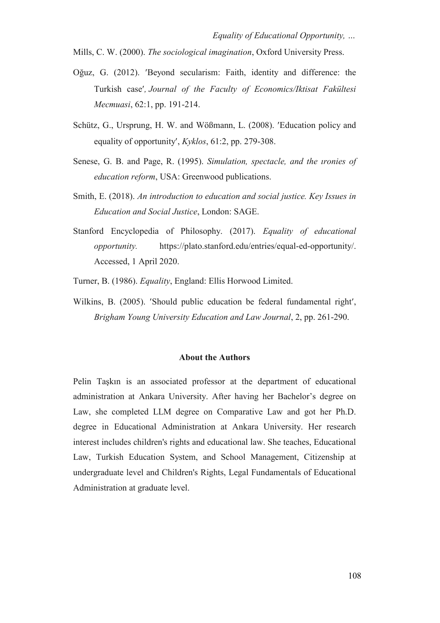Mills, C. W. (2000). *The sociological imagination*, Oxford University Press.

- Oğuz, G. (2012). Beyond secularism: Faith, identity and difference: the Turkish case*, Journal of the Faculty of Economics/Iktisat Fakültesi Mecmuasi*, 62:1, pp. 191-214.
- Schütz, G., Ursprung, H. W. and Wößmann, L. (2008). Education policy and equality of opportunity, *Kyklos*, 61:2, pp. 279-308.
- Senese, G. B. and Page, R. (1995). *Simulation, spectacle, and the ıronies of education reform*, USA: Greenwood publications.
- Smith, E. (2018). *An introduction to education and social justice. Key Issues in Education and Social Justice*, London: SAGE.
- Stanford Encyclopedia of Philosophy. (2017). *Equality of educational opportunity.* https://plato.stanford.edu/entries/equal-ed-opportunity/. Accessed, 1 April 2020.
- Turner, B. (1986). *Equality*, England: Ellis Horwood Limited.
- Wilkins, B. (2005). 'Should public education be federal fundamental right', *Brigham Young University Education and Law Journal*, 2, pp. 261-290.

#### **About the Authors**

Pelin Taşkın is an associated professor at the department of educational administration at Ankara University. After having her Bachelor's degree on Law, she completed LLM degree on Comparative Law and got her Ph.D. degree in Educational Administration at Ankara University. Her research interest includes children's rights and educational law. She teaches, Educational Law, Turkish Education System, and School Management, Citizenship at undergraduate level and Children's Rights, Legal Fundamentals of Educational Administration at graduate level.